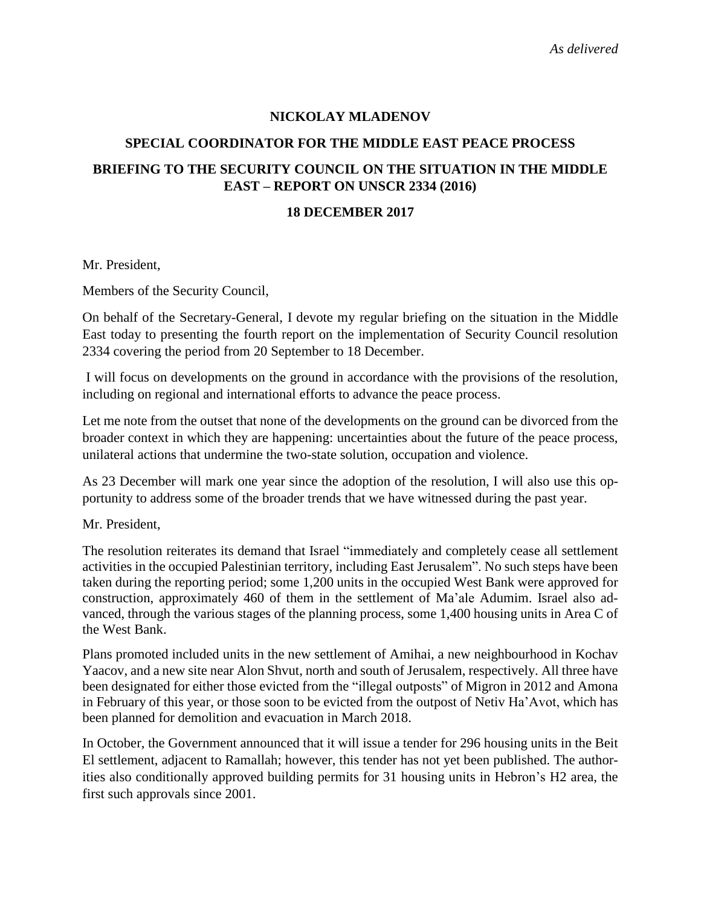### **NICKOLAY MLADENOV**

### **SPECIAL COORDINATOR FOR THE MIDDLE EAST PEACE PROCESS**

# **BRIEFING TO THE SECURITY COUNCIL ON THE SITUATION IN THE MIDDLE EAST – REPORT ON UNSCR 2334 (2016)**

#### **18 DECEMBER 2017**

Mr. President,

Members of the Security Council,

On behalf of the Secretary-General, I devote my regular briefing on the situation in the Middle East today to presenting the fourth report on the implementation of Security Council resolution 2334 covering the period from 20 September to 18 December.

I will focus on developments on the ground in accordance with the provisions of the resolution, including on regional and international efforts to advance the peace process.

Let me note from the outset that none of the developments on the ground can be divorced from the broader context in which they are happening: uncertainties about the future of the peace process, unilateral actions that undermine the two-state solution, occupation and violence.

As 23 December will mark one year since the adoption of the resolution, I will also use this opportunity to address some of the broader trends that we have witnessed during the past year.

Mr. President,

The resolution reiterates its demand that Israel "immediately and completely cease all settlement activities in the occupied Palestinian territory, including East Jerusalem". No such steps have been taken during the reporting period; some 1,200 units in the occupied West Bank were approved for construction, approximately 460 of them in the settlement of Ma'ale Adumim. Israel also advanced, through the various stages of the planning process, some 1,400 housing units in Area C of the West Bank.

Plans promoted included units in the new settlement of Amihai, a new neighbourhood in Kochav Yaacov, and a new site near Alon Shvut, north and south of Jerusalem, respectively. All three have been designated for either those evicted from the "illegal outposts" of Migron in 2012 and Amona in February of this year, or those soon to be evicted from the outpost of Netiv Ha'Avot, which has been planned for demolition and evacuation in March 2018.

In October, the Government announced that it will issue a tender for 296 housing units in the Beit El settlement, adjacent to Ramallah; however, this tender has not yet been published. The authorities also conditionally approved building permits for 31 housing units in Hebron's H2 area, the first such approvals since 2001.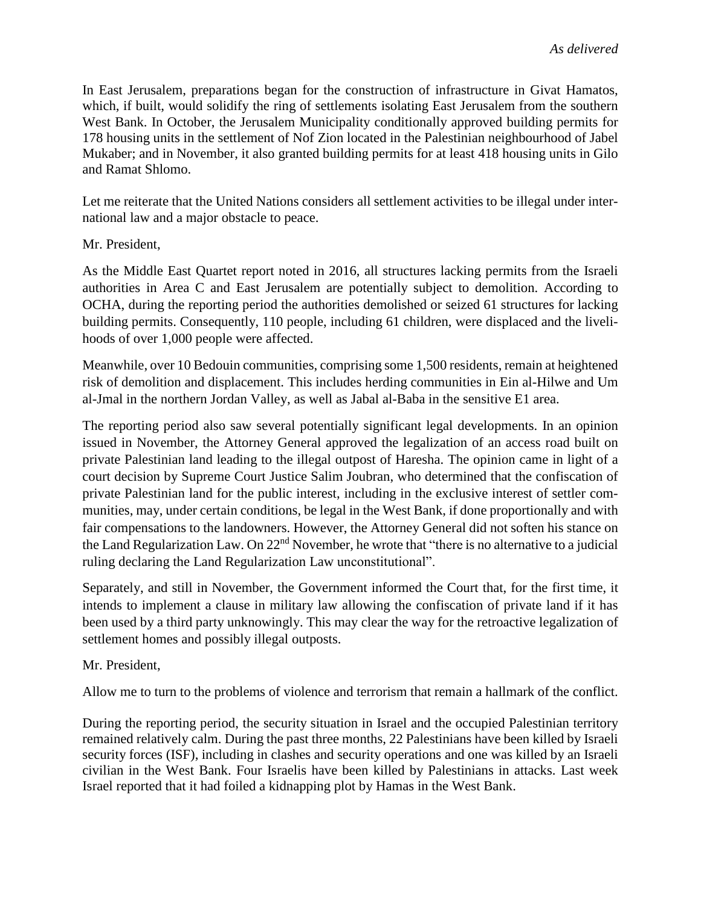In East Jerusalem, preparations began for the construction of infrastructure in Givat Hamatos, which, if built, would solidify the ring of settlements isolating East Jerusalem from the southern West Bank. In October, the Jerusalem Municipality conditionally approved building permits for 178 housing units in the settlement of Nof Zion located in the Palestinian neighbourhood of Jabel Mukaber; and in November, it also granted building permits for at least 418 housing units in Gilo and Ramat Shlomo.

Let me reiterate that the United Nations considers all settlement activities to be illegal under international law and a major obstacle to peace.

# Mr. President,

As the Middle East Quartet report noted in 2016, all structures lacking permits from the Israeli authorities in Area C and East Jerusalem are potentially subject to demolition. According to OCHA, during the reporting period the authorities demolished or seized 61 structures for lacking building permits. Consequently, 110 people, including 61 children, were displaced and the livelihoods of over 1,000 people were affected.

Meanwhile, over 10 Bedouin communities, comprising some 1,500 residents, remain at heightened risk of demolition and displacement. This includes herding communities in Ein al-Hilwe and Um al-Jmal in the northern Jordan Valley, as well as Jabal al-Baba in the sensitive E1 area.

The reporting period also saw several potentially significant legal developments. In an opinion issued in November, the Attorney General approved the legalization of an access road built on private Palestinian land leading to the illegal outpost of Haresha. The opinion came in light of a court decision by Supreme Court Justice Salim Joubran, who determined that the confiscation of private Palestinian land for the public interest, including in the exclusive interest of settler communities, may, under certain conditions, be legal in the West Bank, if done proportionally and with fair compensations to the landowners. However, the Attorney General did not soften his stance on the Land Regularization Law. On 22<sup>nd</sup> November, he wrote that "there is no alternative to a judicial ruling declaring the Land Regularization Law unconstitutional".

Separately, and still in November, the Government informed the Court that, for the first time, it intends to implement a clause in military law allowing the confiscation of private land if it has been used by a third party unknowingly. This may clear the way for the retroactive legalization of settlement homes and possibly illegal outposts.

Mr. President,

Allow me to turn to the problems of violence and terrorism that remain a hallmark of the conflict.

During the reporting period, the security situation in Israel and the occupied Palestinian territory remained relatively calm. During the past three months, 22 Palestinians have been killed by Israeli security forces (ISF), including in clashes and security operations and one was killed by an Israeli civilian in the West Bank. Four Israelis have been killed by Palestinians in attacks. Last week Israel reported that it had foiled a kidnapping plot by Hamas in the West Bank.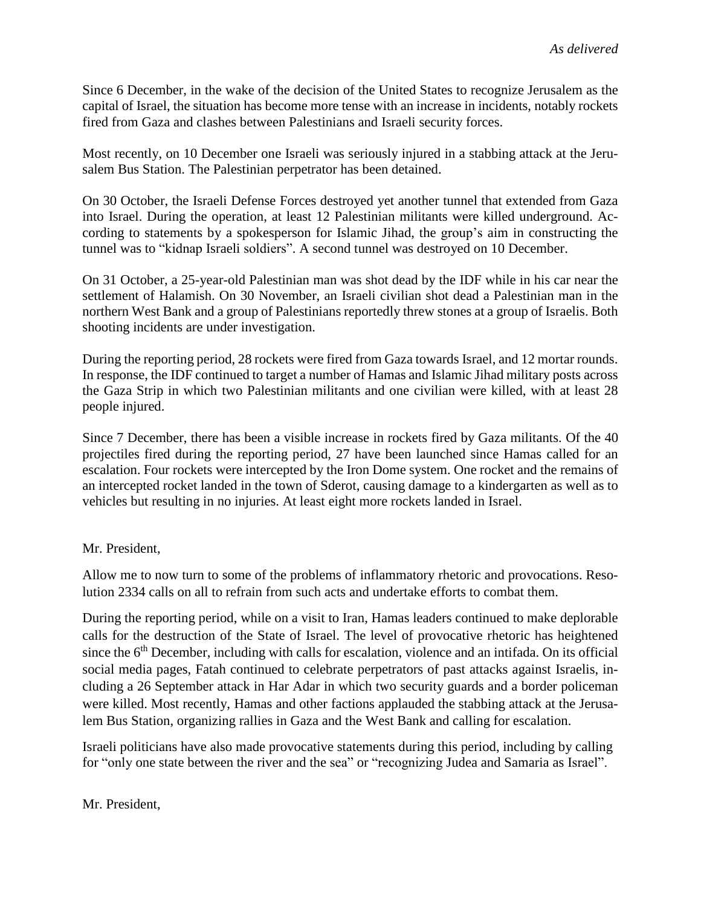Since 6 December, in the wake of the decision of the United States to recognize Jerusalem as the capital of Israel, the situation has become more tense with an increase in incidents, notably rockets fired from Gaza and clashes between Palestinians and Israeli security forces.

Most recently, on 10 December one Israeli was seriously injured in a stabbing attack at the Jerusalem Bus Station. The Palestinian perpetrator has been detained.

On 30 October, the Israeli Defense Forces destroyed yet another tunnel that extended from Gaza into Israel. During the operation, at least 12 Palestinian militants were killed underground. According to statements by a spokesperson for Islamic Jihad, the group's aim in constructing the tunnel was to "kidnap Israeli soldiers". A second tunnel was destroyed on 10 December.

On 31 October, a 25-year-old Palestinian man was shot dead by the IDF while in his car near the settlement of Halamish. On 30 November, an Israeli civilian shot dead a Palestinian man in the northern West Bank and a group of Palestinians reportedly threw stones at a group of Israelis. Both shooting incidents are under investigation.

During the reporting period, 28 rockets were fired from Gaza towards Israel, and 12 mortar rounds. In response, the IDF continued to target a number of Hamas and Islamic Jihad military posts across the Gaza Strip in which two Palestinian militants and one civilian were killed, with at least 28 people injured.

Since 7 December, there has been a visible increase in rockets fired by Gaza militants. Of the 40 projectiles fired during the reporting period, 27 have been launched since Hamas called for an escalation. Four rockets were intercepted by the Iron Dome system. One rocket and the remains of an intercepted rocket landed in the town of Sderot, causing damage to a kindergarten as well as to vehicles but resulting in no injuries. At least eight more rockets landed in Israel.

# Mr. President,

Allow me to now turn to some of the problems of inflammatory rhetoric and provocations. Resolution 2334 calls on all to refrain from such acts and undertake efforts to combat them.

During the reporting period, while on a visit to Iran, Hamas leaders continued to make deplorable calls for the destruction of the State of Israel. The level of provocative rhetoric has heightened since the 6<sup>th</sup> December, including with calls for escalation, violence and an intifada. On its official social media pages, Fatah continued to celebrate perpetrators of past attacks against Israelis, including a 26 September attack in Har Adar in which two security guards and a border policeman were killed. Most recently, Hamas and other factions applauded the stabbing attack at the Jerusalem Bus Station, organizing rallies in Gaza and the West Bank and calling for escalation.

Israeli politicians have also made provocative statements during this period, including by calling for "only one state between the river and the sea" or "recognizing Judea and Samaria as Israel".

#### Mr. President,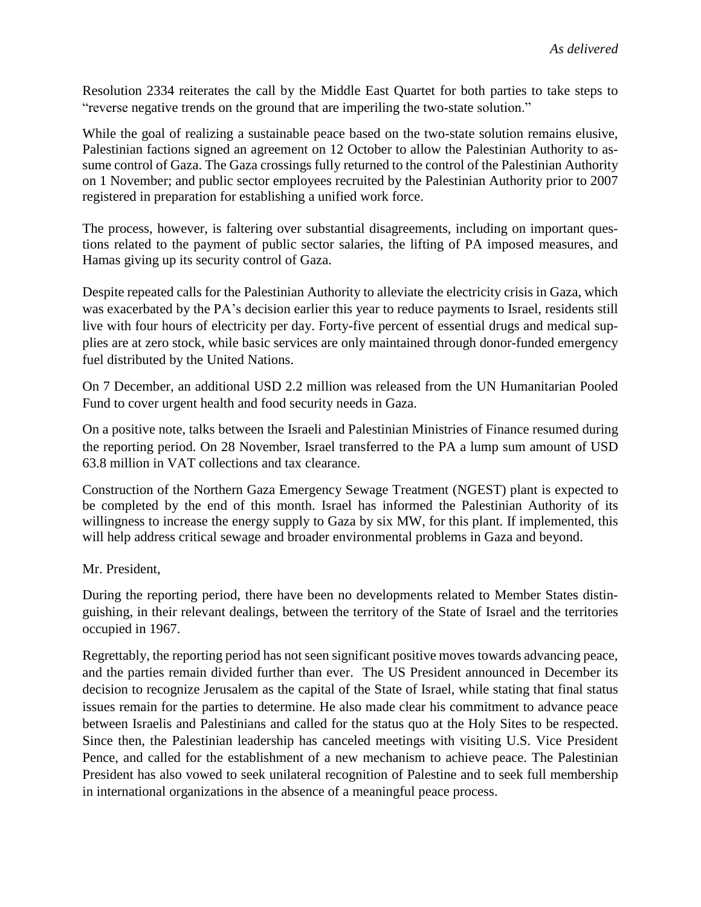Resolution 2334 reiterates the call by the Middle East Quartet for both parties to take steps to "reverse negative trends on the ground that are imperiling the two-state solution."

While the goal of realizing a sustainable peace based on the two-state solution remains elusive, Palestinian factions signed an agreement on 12 October to allow the Palestinian Authority to assume control of Gaza. The Gaza crossings fully returned to the control of the Palestinian Authority on 1 November; and public sector employees recruited by the Palestinian Authority prior to 2007 registered in preparation for establishing a unified work force.

The process, however, is faltering over substantial disagreements, including on important questions related to the payment of public sector salaries, the lifting of PA imposed measures, and Hamas giving up its security control of Gaza.

Despite repeated calls for the Palestinian Authority to alleviate the electricity crisis in Gaza, which was exacerbated by the PA's decision earlier this year to reduce payments to Israel, residents still live with four hours of electricity per day. Forty-five percent of essential drugs and medical supplies are at zero stock, while basic services are only maintained through donor-funded emergency fuel distributed by the United Nations.

On 7 December, an additional USD 2.2 million was released from the UN Humanitarian Pooled Fund to cover urgent health and food security needs in Gaza.

On a positive note, talks between the Israeli and Palestinian Ministries of Finance resumed during the reporting period. On 28 November, Israel transferred to the PA a lump sum amount of USD 63.8 million in VAT collections and tax clearance.

Construction of the Northern Gaza Emergency Sewage Treatment (NGEST) plant is expected to be completed by the end of this month. Israel has informed the Palestinian Authority of its willingness to increase the energy supply to Gaza by six MW, for this plant. If implemented, this will help address critical sewage and broader environmental problems in Gaza and beyond.

Mr. President,

During the reporting period, there have been no developments related to Member States distinguishing, in their relevant dealings, between the territory of the State of Israel and the territories occupied in 1967.

Regrettably, the reporting period has not seen significant positive moves towards advancing peace, and the parties remain divided further than ever. The US President announced in December its decision to recognize Jerusalem as the capital of the State of Israel, while stating that final status issues remain for the parties to determine. He also made clear his commitment to advance peace between Israelis and Palestinians and called for the status quo at the Holy Sites to be respected. Since then, the Palestinian leadership has canceled meetings with visiting U.S. Vice President Pence, and called for the establishment of a new mechanism to achieve peace. The Palestinian President has also vowed to seek unilateral recognition of Palestine and to seek full membership in international organizations in the absence of a meaningful peace process.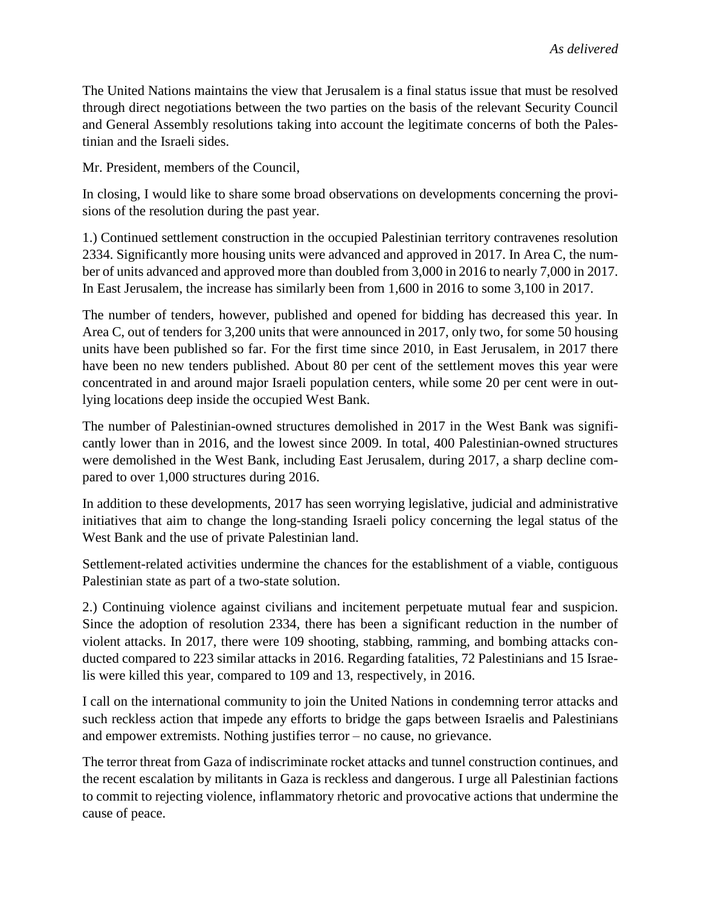The United Nations maintains the view that Jerusalem is a final status issue that must be resolved through direct negotiations between the two parties on the basis of the relevant Security Council and General Assembly resolutions taking into account the legitimate concerns of both the Palestinian and the Israeli sides.

Mr. President, members of the Council,

In closing, I would like to share some broad observations on developments concerning the provisions of the resolution during the past year.

1.) Continued settlement construction in the occupied Palestinian territory contravenes resolution 2334. Significantly more housing units were advanced and approved in 2017. In Area C, the number of units advanced and approved more than doubled from 3,000 in 2016 to nearly 7,000 in 2017. In East Jerusalem, the increase has similarly been from 1,600 in 2016 to some 3,100 in 2017.

The number of tenders, however, published and opened for bidding has decreased this year. In Area C, out of tenders for 3,200 units that were announced in 2017, only two, for some 50 housing units have been published so far. For the first time since 2010, in East Jerusalem, in 2017 there have been no new tenders published. About 80 per cent of the settlement moves this year were concentrated in and around major Israeli population centers, while some 20 per cent were in outlying locations deep inside the occupied West Bank.

The number of Palestinian-owned structures demolished in 2017 in the West Bank was significantly lower than in 2016, and the lowest since 2009. In total, 400 Palestinian-owned structures were demolished in the West Bank, including East Jerusalem, during 2017, a sharp decline compared to over 1,000 structures during 2016.

In addition to these developments, 2017 has seen worrying legislative, judicial and administrative initiatives that aim to change the long-standing Israeli policy concerning the legal status of the West Bank and the use of private Palestinian land.

Settlement-related activities undermine the chances for the establishment of a viable, contiguous Palestinian state as part of a two-state solution.

2.) Continuing violence against civilians and incitement perpetuate mutual fear and suspicion. Since the adoption of resolution 2334, there has been a significant reduction in the number of violent attacks. In 2017, there were 109 shooting, stabbing, ramming, and bombing attacks conducted compared to 223 similar attacks in 2016. Regarding fatalities, 72 Palestinians and 15 Israelis were killed this year, compared to 109 and 13, respectively, in 2016.

I call on the international community to join the United Nations in condemning terror attacks and such reckless action that impede any efforts to bridge the gaps between Israelis and Palestinians and empower extremists. Nothing justifies terror – no cause, no grievance.

The terror threat from Gaza of indiscriminate rocket attacks and tunnel construction continues, and the recent escalation by militants in Gaza is reckless and dangerous. I urge all Palestinian factions to commit to rejecting violence, inflammatory rhetoric and provocative actions that undermine the cause of peace.